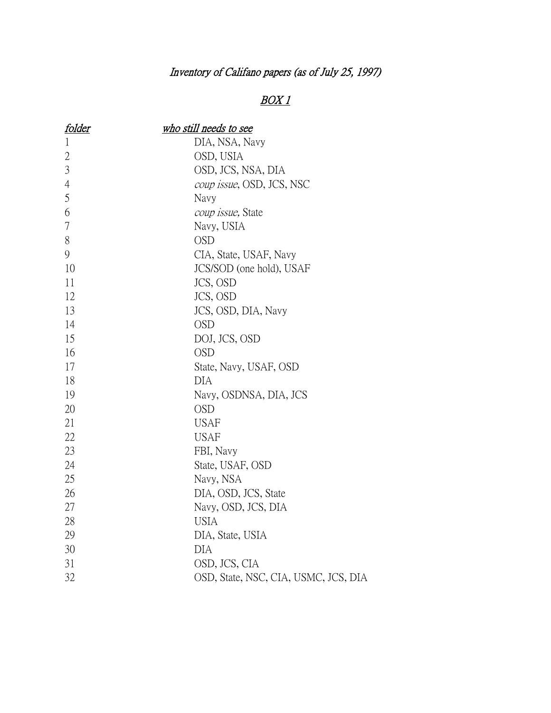## Inventory of Califano papers (as of July 25, 1997)

## $BOX1$

| <u>folder</u>  | who still needs to see               |
|----------------|--------------------------------------|
| $\mathbf{1}$   | DIA, NSA, Navy                       |
| $\overline{2}$ | OSD, USIA                            |
| 3              | OSD, JCS, NSA, DIA                   |
| $\overline{4}$ | coup issue, OSD, JCS, NSC            |
| 5              | Navy                                 |
| 6              | coup issue, State                    |
| 7              | Navy, USIA                           |
| 8              | <b>OSD</b>                           |
| 9              | CIA, State, USAF, Navy               |
| 10             | JCS/SOD (one hold), USAF             |
| 11             | JCS, OSD                             |
| 12             | JCS, OSD                             |
| 13             | JCS, OSD, DIA, Navy                  |
| 14             | <b>OSD</b>                           |
| 15             | DOJ, JCS, OSD                        |
| 16             | <b>OSD</b>                           |
| 17             | State, Navy, USAF, OSD               |
| 18             | DIA                                  |
| 19             | Navy, OSDNSA, DIA, JCS               |
| 20             | <b>OSD</b>                           |
| 21             | <b>USAF</b>                          |
| 22             | <b>USAF</b>                          |
| 23             | FBI, Navy                            |
| 24             | State, USAF, OSD                     |
| 25             | Navy, NSA                            |
| 26             | DIA, OSD, JCS, State                 |
| 27             | Navy, OSD, JCS, DIA                  |
| 28             | <b>USIA</b>                          |
| 29             | DIA, State, USIA                     |
| 30             | <b>DIA</b>                           |
| 31             | OSD, JCS, CIA                        |
| 32             | OSD, State, NSC, CIA, USMC, JCS, DIA |
|                |                                      |